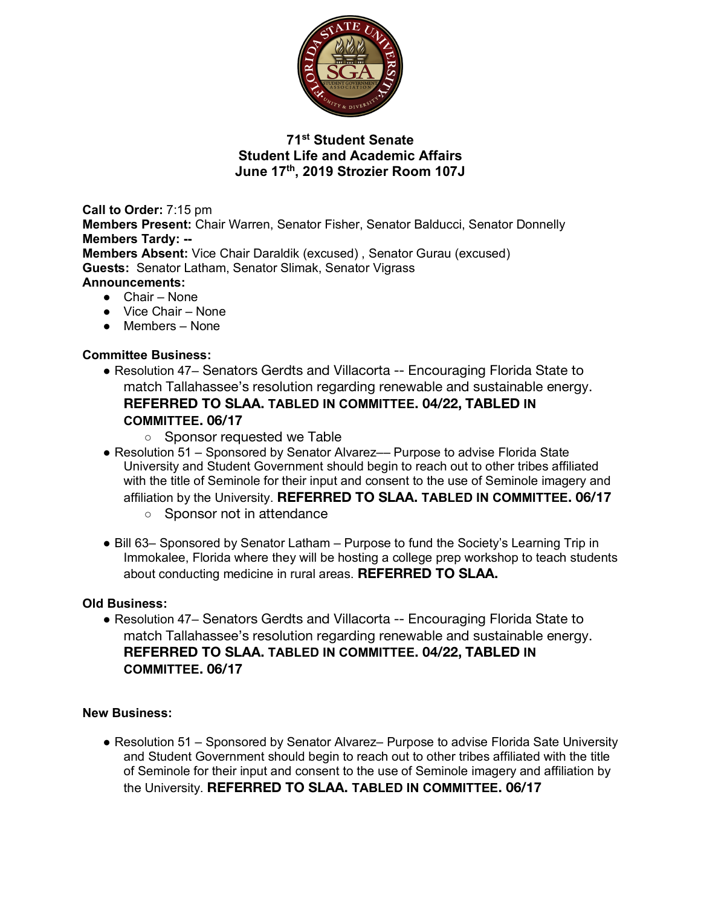

# **71st Student Senate Student Life and Academic Affairs June 17th, 2019 Strozier Room 107J**

**Call to Order:** 7:15 pm **Members Present:** Chair Warren, Senator Fisher, Senator Balducci, Senator Donnelly **Members Tardy: -- Members Absent:** Vice Chair Daraldik (excused) , Senator Gurau (excused) **Guests:** Senator Latham, Senator Slimak, Senator Vigrass **Announcements:**

- Chair None
- Vice Chair None
- Members None

### **Committee Business:**

- Resolution 47– Senators Gerdts and Villacorta -- Encouraging Florida State to match Tallahassee's resolution regarding renewable and sustainable energy. **REFERRED TO SLAA. TABLED IN COMMITTEE. 04/22, TABLED IN COMMITTEE. 06/17**
	- Sponsor requested we Table
- Resolution 51 Sponsored by Senator Alvarez— Purpose to advise Florida State University and Student Government should begin to reach out to other tribes affiliated with the title of Seminole for their input and consent to the use of Seminole imagery and affiliation by the University. **REFERRED TO SLAA. TABLED IN COMMITTEE. 06/17**
	- Sponsor not in attendance
- Bill 63– Sponsored by Senator Latham Purpose to fund the Society's Learning Trip in Immokalee, Florida where they will be hosting a college prep workshop to teach students about conducting medicine in rural areas. **REFERRED TO SLAA.**

#### **Old Business:**

● Resolution 47– Senators Gerdts and Villacorta -- Encouraging Florida State to match Tallahassee's resolution regarding renewable and sustainable energy. **REFERRED TO SLAA. TABLED IN COMMITTEE. 04/22, TABLED IN COMMITTEE. 06/17**

#### **New Business:**

● Resolution 51 – Sponsored by Senator Alvarez– Purpose to advise Florida Sate University and Student Government should begin to reach out to other tribes affiliated with the title of Seminole for their input and consent to the use of Seminole imagery and affiliation by the University. **REFERRED TO SLAA. TABLED IN COMMITTEE. 06/17**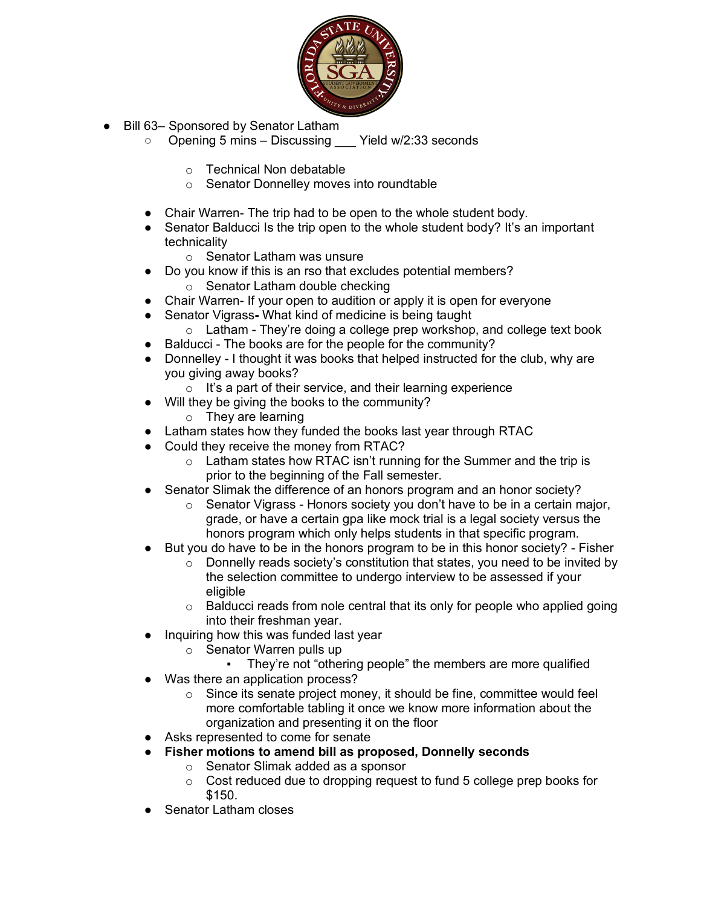

- Bill 63– Sponsored by Senator Latham
	- Opening 5 mins Discussing Yield w/2:33 seconds
		- o Technical Non debatable
		- o Senator Donnelley moves into roundtable
	- Chair Warren- The trip had to be open to the whole student body.
	- Senator Balducci Is the trip open to the whole student body? It's an important technicality
		- o Senator Latham was unsure
	- Do you know if this is an rso that excludes potential members?
		- o Senator Latham double checking
	- Chair Warren- If your open to audition or apply it is open for everyone
	- Senator Vigrass**-** What kind of medicine is being taught
		- $\circ$  Latham They're doing a college prep workshop, and college text book
	- Balducci The books are for the people for the community?
	- Donnelley I thought it was books that helped instructed for the club, why are you giving away books?
		- $\circ$  It's a part of their service, and their learning experience
	- Will they be giving the books to the community?
		- o They are learning
	- Latham states how they funded the books last year through RTAC
	- Could they receive the money from RTAC?
		- o Latham states how RTAC isn't running for the Summer and the trip is prior to the beginning of the Fall semester.
	- Senator Slimak the difference of an honors program and an honor society?
		- o Senator Vigrass Honors society you don't have to be in a certain major, grade, or have a certain gpa like mock trial is a legal society versus the honors program which only helps students in that specific program.
	- But you do have to be in the honors program to be in this honor society? Fisher
		- $\circ$  Donnelly reads society's constitution that states, you need to be invited by the selection committee to undergo interview to be assessed if your eligible
		- $\circ$  Balducci reads from nole central that its only for people who applied going into their freshman year.
	- Inquiring how this was funded last year
		- o Senator Warren pulls up
			- They're not "othering people" the members are more qualified
	- Was there an application process?
		- o Since its senate project money, it should be fine, committee would feel more comfortable tabling it once we know more information about the organization and presenting it on the floor
	- Asks represented to come for senate
	- **Fisher motions to amend bill as proposed, Donnelly seconds**
		- o Senator Slimak added as a sponsor
		- o Cost reduced due to dropping request to fund 5 college prep books for \$150.
	- **Senator Latham closes**